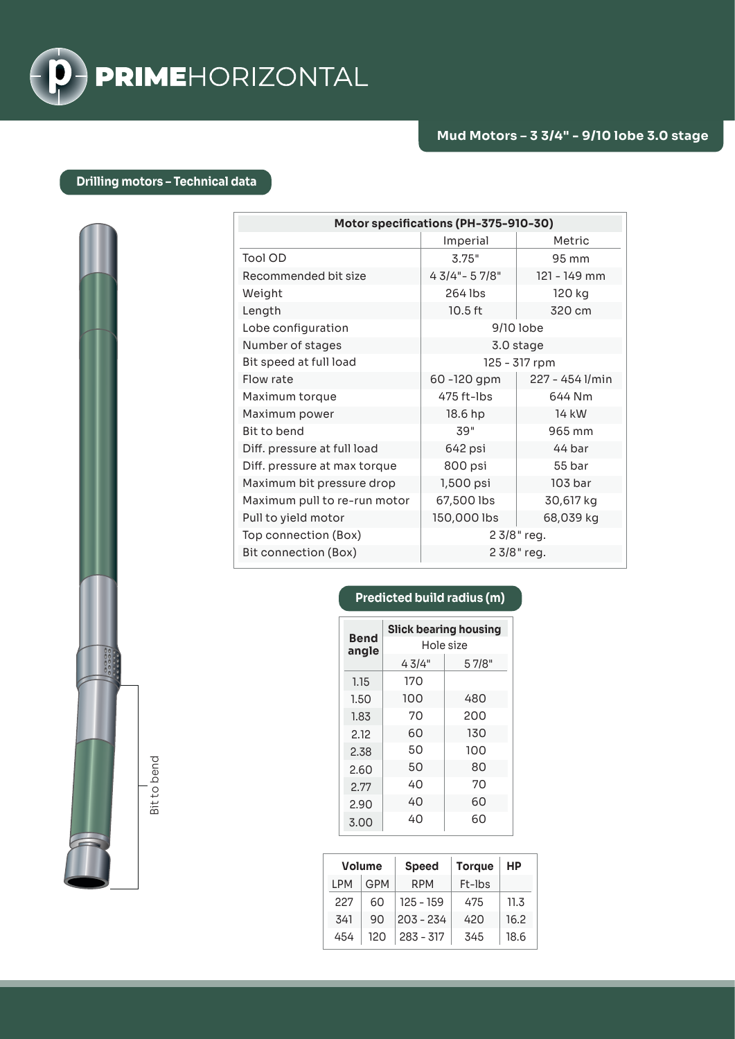

## **Drilling motors – Technical data**

| Motor specifications (PH-375-910-30) |                   |                 |  |  |  |
|--------------------------------------|-------------------|-----------------|--|--|--|
|                                      | Imperial          | Metric          |  |  |  |
| Tool OD                              | 3.75"             | 95 mm           |  |  |  |
| Recommended bit size                 | $43/4 - 57/8$ "   | 121 - 149 mm    |  |  |  |
| Weight                               | 264 lbs<br>120 kg |                 |  |  |  |
| Length                               | 10.5 ft           | 320 cm          |  |  |  |
| Lobe configuration                   | 9/10 lobe         |                 |  |  |  |
| Number of stages                     | 3.0 stage         |                 |  |  |  |
| Bit speed at full load               | 125 - 317 rpm     |                 |  |  |  |
| Flow rate                            | 60 -120 gpm       | 227 - 454 l/min |  |  |  |
| Maximum torque                       | 475 ft-lbs        | 644 Nm          |  |  |  |
| Maximum power                        | 18.6 hp           | 14 kW           |  |  |  |
| Bit to bend                          | 39"               | 965 mm          |  |  |  |
| Diff. pressure at full load          | 642 psi           | 44 bar          |  |  |  |
| Diff. pressure at max torque         | 800 psi           | 55 bar          |  |  |  |
| Maximum bit pressure drop            | 1,500 psi         | 103 bar         |  |  |  |
| Maximum pull to re-run motor         | 67,500 lbs        | 30,617 kg       |  |  |  |
| Pull to yield motor                  | 150,000 lbs       | 68,039 kg       |  |  |  |
| Top connection (Box)                 | 2 3/8" reg.       |                 |  |  |  |
| Bit connection (Box)                 | 2 3/8" reg.       |                 |  |  |  |

## **Predicted build radius (m)**

| <b>Bend</b><br>angle | <b>Slick bearing housing</b><br>Hole size |       |  |
|----------------------|-------------------------------------------|-------|--|
|                      | 43/4"                                     | 57/8" |  |
| 1.15                 | 170                                       |       |  |
| 1.50                 | 100                                       | 480   |  |
| 1.83                 | 70                                        | 200   |  |
| 2.12                 | 60                                        | 130   |  |
| 2.38                 | 50                                        | 100   |  |
| 2.60                 | 50                                        | 80    |  |
| 2.77                 | 40                                        | 70    |  |
| 2.90                 | 40                                        | 60    |  |
| 3.00                 | 40                                        | 60    |  |

|      | <b>Volume</b> | <b>Speed</b> | <b>Torque</b> | НP   |
|------|---------------|--------------|---------------|------|
| I PM | GPM           | <b>RPM</b>   | Ft-Ibs        |      |
| 227  | 60            | $125 - 159$  | 475           | 11.3 |
| 341  | 90            | $203 - 234$  | 420           | 16.2 |
| 454  | 120           | $283 - 317$  | 345           | 18.6 |

Bit to bend Bit to bend